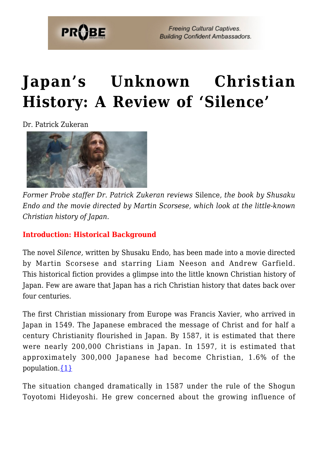

# **[Japan's Unknown Christian](https://probe.org/japans-unknown-christian-history-a-review-of-silence/) [History: A Review of 'Silence'](https://probe.org/japans-unknown-christian-history-a-review-of-silence/)**

Dr. Patrick Zukeran



*Former Probe staffer Dr. Patrick Zukeran reviews* Silence*, the book by Shusaku Endo and the movie directed by Martin Scorsese, which look at the little-known Christian history of Japan.*

#### **Introduction: Historical Background**

The novel *Silence,* written by Shusaku Endo, has been made into a movie directed by Martin Scorsese and starring Liam Neeson and Andrew Garfield. This historical fiction provides a glimpse into the little known Christian history of Japan. Few are aware that Japan has a rich Christian history that dates back over four centuries.

The first Christian missionary from Europe was Francis Xavier, who arrived in Japan in 1549. The Japanese embraced the message of Christ and for half a century Christianity flourished in Japan. By 1587, it is estimated that there were nearly 200,000 Christians in Japan. In 1597, it is estimated that approximately 300,000 Japanese had become Christian, 1.6% of the population. $\{1\}$ 

The situation changed dramatically in 1587 under the rule of the Shogun Toyotomi Hideyoshi. He grew concerned about the growing influence of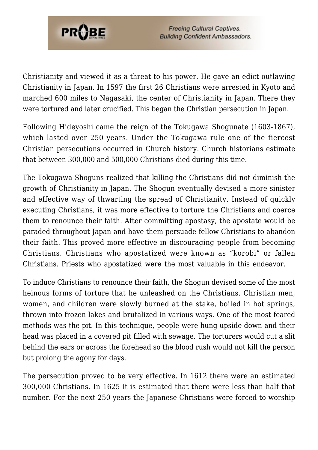

Christianity and viewed it as a threat to his power. He gave an edict outlawing Christianity in Japan. In 1597 the first 26 Christians were arrested in Kyoto and marched 600 miles to Nagasaki, the center of Christianity in Japan. There they were tortured and later crucified. This began the Christian persecution in Japan.

Following Hideyoshi came the reign of the Tokugawa Shogunate (1603-1867), which lasted over 250 years. Under the Tokugawa rule one of the fiercest Christian persecutions occurred in Church history. Church historians estimate that between 300,000 and 500,000 Christians died during this time.

The Tokugawa Shoguns realized that killing the Christians did not diminish the growth of Christianity in Japan. The Shogun eventually devised a more sinister and effective way of thwarting the spread of Christianity. Instead of quickly executing Christians, it was more effective to torture the Christians and coerce them to renounce their faith. After committing apostasy, the apostate would be paraded throughout Japan and have them persuade fellow Christians to abandon their faith. This proved more effective in discouraging people from becoming Christians. Christians who apostatized were known as "korobi" or fallen Christians. Priests who apostatized were the most valuable in this endeavor.

To induce Christians to renounce their faith, the Shogun devised some of the most heinous forms of torture that he unleashed on the Christians. Christian men, women, and children were slowly burned at the stake, boiled in hot springs, thrown into frozen lakes and brutalized in various ways. One of the most feared methods was the pit. In this technique, people were hung upside down and their head was placed in a covered pit filled with sewage. The torturers would cut a slit behind the ears or across the forehead so the blood rush would not kill the person but prolong the agony for days.

The persecution proved to be very effective. In 1612 there were an estimated 300,000 Christians. In 1625 it is estimated that there were less than half that number. For the next 250 years the Japanese Christians were forced to worship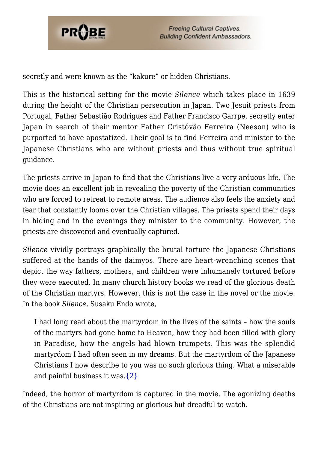

secretly and were known as the "kakure" or hidden Christians.

This is the historical setting for the movie *Silence* which takes place in 1639 during the height of the Christian persecution in Japan. Two Jesuit priests from Portugal, Father Sebastião Rodrigues and Father Francisco Garrpe, secretly enter Japan in search of their mentor Father Cristóvão Ferreira (Neeson) who is purported to have apostatized. Their goal is to find Ferreira and minister to the Japanese Christians who are without priests and thus without true spiritual guidance.

The priests arrive in Japan to find that the Christians live a very arduous life. The movie does an excellent job in revealing the poverty of the Christian communities who are forced to retreat to remote areas. The audience also feels the anxiety and fear that constantly looms over the Christian villages. The priests spend their days in hiding and in the evenings they minister to the community. However, the priests are discovered and eventually captured.

*Silence* vividly portrays graphically the brutal torture the Japanese Christians suffered at the hands of the daimyos. There are heart-wrenching scenes that depict the way fathers, mothers, and children were inhumanely tortured before they were executed. In many church history books we read of the glorious death of the Christian martyrs. However, this is not the case in the novel or the movie. In the book *Silence,* Susaku Endo wrote,

I had long read about the martyrdom in the lives of the saints – how the souls of the martyrs had gone home to Heaven, how they had been filled with glory in Paradise, how the angels had blown trumpets. This was the splendid martyrdom I had often seen in my dreams. But the martyrdom of the Japanese Christians I now describe to you was no such glorious thing. What a miserable and painful business it was. $\{2\}$ 

Indeed, the horror of martyrdom is captured in the movie. The agonizing deaths of the Christians are not inspiring or glorious but dreadful to watch.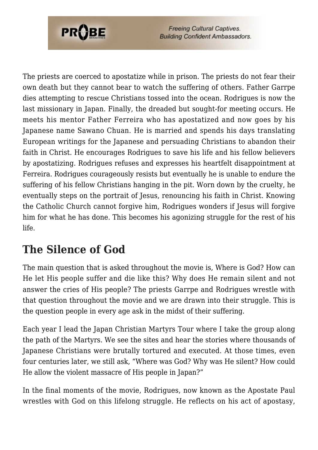

The priests are coerced to apostatize while in prison. The priests do not fear their own death but they cannot bear to watch the suffering of others. Father Garrpe dies attempting to rescue Christians tossed into the ocean. Rodrigues is now the last missionary in Japan. Finally, the dreaded but sought-for meeting occurs. He meets his mentor Father Ferreira who has apostatized and now goes by his Japanese name Sawano Chuan. He is married and spends his days translating European writings for the Japanese and persuading Christians to abandon their faith in Christ. He encourages Rodrigues to save his life and his fellow believers by apostatizing. Rodrigues refuses and expresses his heartfelt disappointment at Ferreira. Rodrigues courageously resists but eventually he is unable to endure the suffering of his fellow Christians hanging in the pit. Worn down by the cruelty, he eventually steps on the portrait of Jesus, renouncing his faith in Christ. Knowing the Catholic Church cannot forgive him, Rodrigues wonders if Jesus will forgive him for what he has done. This becomes his agonizing struggle for the rest of his life.

### **The Silence of God**

The main question that is asked throughout the movie is, Where is God? How can He let His people suffer and die like this? Why does He remain silent and not answer the cries of His people? The priests Garrpe and Rodrigues wrestle with that question throughout the movie and we are drawn into their struggle. This is the question people in every age ask in the midst of their suffering.

Each year I lead the Japan Christian Martyrs Tour where I take the group along the path of the Martyrs. We see the sites and hear the stories where thousands of Japanese Christians were brutally tortured and executed. At those times, even four centuries later, we still ask, "Where was God? Why was He silent? How could He allow the violent massacre of His people in Japan?"

In the final moments of the movie, Rodrigues, now known as the Apostate Paul wrestles with God on this lifelong struggle. He reflects on his act of apostasy,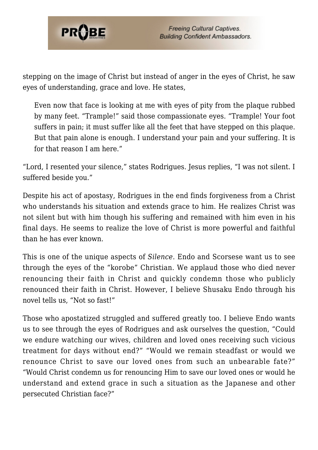

stepping on the image of Christ but instead of anger in the eyes of Christ, he saw eyes of understanding, grace and love. He states,

Even now that face is looking at me with eyes of pity from the plaque rubbed by many feet. "Trample!" said those compassionate eyes. "Trample! Your foot suffers in pain; it must suffer like all the feet that have stepped on this plaque. But that pain alone is enough. I understand your pain and your suffering. It is for that reason I am here."

"Lord, I resented your silence," states Rodrigues. Jesus replies, "I was not silent. I suffered beside you."

Despite his act of apostasy, Rodrigues in the end finds forgiveness from a Christ who understands his situation and extends grace to him. He realizes Christ was not silent but with him though his suffering and remained with him even in his final days. He seems to realize the love of Christ is more powerful and faithful than he has ever known.

This is one of the unique aspects of *Silence*. Endo and Scorsese want us to see through the eyes of the "korobe" Christian. We applaud those who died never renouncing their faith in Christ and quickly condemn those who publicly renounced their faith in Christ. However, I believe Shusaku Endo through his novel tells us, "Not so fast!"

Those who apostatized struggled and suffered greatly too. I believe Endo wants us to see through the eyes of Rodrigues and ask ourselves the question, "Could we endure watching our wives, children and loved ones receiving such vicious treatment for days without end?" "Would we remain steadfast or would we renounce Christ to save our loved ones from such an unbearable fate?" "Would Christ condemn us for renouncing Him to save our loved ones or would he understand and extend grace in such a situation as the Japanese and other persecuted Christian face?"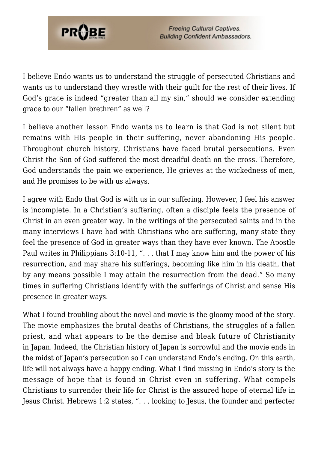

I believe Endo wants us to understand the struggle of persecuted Christians and wants us to understand they wrestle with their guilt for the rest of their lives. If God's grace is indeed "greater than all my sin," should we consider extending grace to our "fallen brethren" as well?

I believe another lesson Endo wants us to learn is that God is not silent but remains with His people in their suffering, never abandoning His people. Throughout church history, Christians have faced brutal persecutions. Even Christ the Son of God suffered the most dreadful death on the cross. Therefore, God understands the pain we experience, He grieves at the wickedness of men, and He promises to be with us always.

I agree with Endo that God is with us in our suffering. However, I feel his answer is incomplete. In a Christian's suffering, often a disciple feels the presence of Christ in an even greater way. In the writings of the persecuted saints and in the many interviews I have had with Christians who are suffering, many state they feel the presence of God in greater ways than they have ever known. The Apostle Paul writes in Philippians 3:10-11, ". . . that I may know him and the power of his resurrection, and may share his sufferings, becoming like him in his death, that by any means possible I may attain the resurrection from the dead." So many times in suffering Christians identify with the sufferings of Christ and sense His presence in greater ways.

What I found troubling about the novel and movie is the gloomy mood of the story. The movie emphasizes the brutal deaths of Christians, the struggles of a fallen priest, and what appears to be the demise and bleak future of Christianity in Japan. Indeed, the Christian history of Japan is sorrowful and the movie ends in the midst of Japan's persecution so I can understand Endo's ending. On this earth, life will not always have a happy ending. What I find missing in Endo's story is the message of hope that is found in Christ even in suffering. What compels Christians to surrender their life for Christ is the assured hope of eternal life in Jesus Christ. Hebrews 1:2 states, ". . . looking to Jesus, the founder and perfecter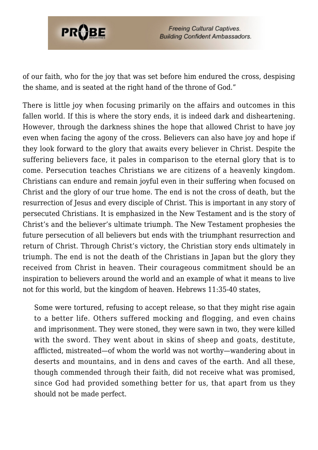

of our faith, who for the joy that was set before him endured the cross, despising the shame, and is seated at the right hand of the throne of God."

There is little joy when focusing primarily on the affairs and outcomes in this fallen world. If this is where the story ends, it is indeed dark and disheartening. However, through the darkness shines the hope that allowed Christ to have joy even when facing the agony of the cross. Believers can also have joy and hope if they look forward to the glory that awaits every believer in Christ. Despite the suffering believers face, it pales in comparison to the eternal glory that is to come. Persecution teaches Christians we are citizens of a heavenly kingdom. Christians can endure and remain joyful even in their suffering when focused on Christ and the glory of our true home. The end is not the cross of death, but the resurrection of Jesus and every disciple of Christ. This is important in any story of persecuted Christians. It is emphasized in the New Testament and is the story of Christ's and the believer's ultimate triumph. The New Testament prophesies the future persecution of all believers but ends with the triumphant resurrection and return of Christ. Through Christ's victory, the Christian story ends ultimately in triumph. The end is not the death of the Christians in Japan but the glory they received from Christ in heaven. Their courageous commitment should be an inspiration to believers around the world and an example of what it means to live not for this world, but the kingdom of heaven. Hebrews 11:35-40 states,

Some were tortured, refusing to accept release, so that they might rise again to a better life. Others suffered mocking and flogging, and even chains and imprisonment. They were stoned, they were sawn in two, they were killed with the sword. They went about in skins of sheep and goats, destitute, afflicted, mistreated—of whom the world was not worthy—wandering about in deserts and mountains, and in dens and caves of the earth. And all these, though commended through their faith, did not receive what was promised, since God had provided something better for us, that apart from us they should not be made perfect.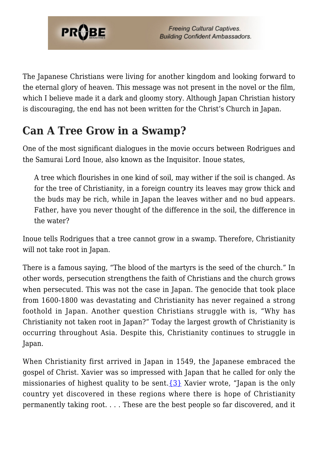

The Japanese Christians were living for another kingdom and looking forward to the eternal glory of heaven. This message was not present in the novel or the film, which I believe made it a dark and gloomy story. Although Japan Christian history is discouraging, the end has not been written for the Christ's Church in Japan.

# **Can A Tree Grow in a Swamp?**

One of the most significant dialogues in the movie occurs between Rodrigues and the Samurai Lord Inoue, also known as the Inquisitor. Inoue states,

A tree which flourishes in one kind of soil, may wither if the soil is changed. As for the tree of Christianity, in a foreign country its leaves may grow thick and the buds may be rich, while in Japan the leaves wither and no bud appears. Father, have you never thought of the difference in the soil, the difference in the water?

Inoue tells Rodrigues that a tree cannot grow in a swamp. Therefore, Christianity will not take root in Japan.

There is a famous saying, "The blood of the martyrs is the seed of the church." In other words, persecution strengthens the faith of Christians and the church grows when persecuted. This was not the case in Japan. The genocide that took place from 1600-1800 was devastating and Christianity has never regained a strong foothold in Japan. Another question Christians struggle with is, "Why has Christianity not taken root in Japan?" Today the largest growth of Christianity is occurring throughout Asia. Despite this, Christianity continues to struggle in Japan.

When Christianity first arrived in Japan in 1549, the Japanese embraced the gospel of Christ. Xavier was so impressed with Japan that he called for only the missionaries of highest quality to be sent. $\{3\}$  Xavier wrote, "Japan is the only country yet discovered in these regions where there is hope of Christianity permanently taking root. . . . These are the best people so far discovered, and it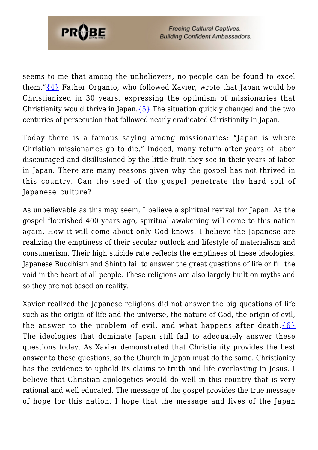

seems to me that among the unbelievers, no people can be found to excel them." $\{4\}$  Father Organto, who followed Xavier, wrote that Japan would be Christianized in 30 years, expressing the optimism of missionaries that Christianity would thrive in Japan.  $\{5\}$  The situation quickly changed and the two centuries of persecution that followed nearly eradicated Christianity in Japan.

Today there is a famous saying among missionaries: "Japan is where Christian missionaries go to die." Indeed, many return after years of labor discouraged and disillusioned by the little fruit they see in their years of labor in Japan. There are many reasons given why the gospel has not thrived in this country. Can the seed of the gospel penetrate the hard soil of Japanese culture?

As unbelievable as this may seem, I believe a spiritual revival for Japan. As the gospel flourished 400 years ago, spiritual awakening will come to this nation again. How it will come about only God knows. I believe the Japanese are realizing the emptiness of their secular outlook and lifestyle of materialism and consumerism. Their high suicide rate reflects the emptiness of these ideologies. Japanese Buddhism and Shinto fail to answer the great questions of life or fill the void in the heart of all people. These religions are also largely built on myths and so they are not based on reality.

Xavier realized the Japanese religions did not answer the big questions of life such as the origin of life and the universe, the nature of God, the origin of evil, the answer to the problem of evil, and what happens after death. ${6}$ The ideologies that dominate Japan still fail to adequately answer these questions today. As Xavier demonstrated that Christianity provides the best answer to these questions, so the Church in Japan must do the same. Christianity has the evidence to uphold its claims to truth and life everlasting in Jesus. I believe that Christian apologetics would do well in this country that is very rational and well educated. The message of the gospel provides the true message of hope for this nation. I hope that the message and lives of the Japan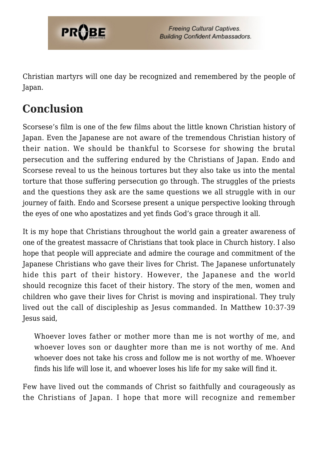

Christian martyrs will one day be recognized and remembered by the people of Japan.

## **Conclusion**

Scorsese's film is one of the few films about the little known Christian history of Japan. Even the Japanese are not aware of the tremendous Christian history of their nation. We should be thankful to Scorsese for showing the brutal persecution and the suffering endured by the Christians of Japan. Endo and Scorsese reveal to us the heinous tortures but they also take us into the mental torture that those suffering persecution go through. The struggles of the priests and the questions they ask are the same questions we all struggle with in our journey of faith. Endo and Scorsese present a unique perspective looking through the eyes of one who apostatizes and yet finds God's grace through it all.

It is my hope that Christians throughout the world gain a greater awareness of one of the greatest massacre of Christians that took place in Church history. I also hope that people will appreciate and admire the courage and commitment of the Japanese Christians who gave their lives for Christ. The Japanese unfortunately hide this part of their history. However, the Japanese and the world should recognize this facet of their history. The story of the men, women and children who gave their lives for Christ is moving and inspirational. They truly lived out the call of discipleship as Jesus commanded. In Matthew 10:37-39 Jesus said,

Whoever loves father or mother more than me is not worthy of me, and whoever loves son or daughter more than me is not worthy of me. And whoever does not take his cross and follow me is not worthy of me. Whoever finds his life will lose it, and whoever loses his life for my sake will find it.

Few have lived out the commands of Christ so faithfully and courageously as the Christians of Japan. I hope that more will recognize and remember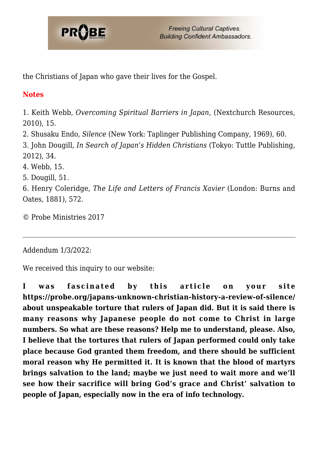

the Christians of Japan who gave their lives for the Gospel.

### **Notes**

1. Keith Webb, *Overcoming Spiritual Barriers in Japan*, (Nextchurch Resources, 2010), 15.

<span id="page-10-1"></span>2. Shusaku Endo, *Silence* (New York: Taplinger Publishing Company, 1969), 60.

<span id="page-10-2"></span>3. John Dougill, *In Search of Japan's Hidden Christians* (Tokyo: Tuttle Publishing, 2012), 34.

<span id="page-10-3"></span>4. Webb, 15.

<span id="page-10-4"></span>5. Dougill, 51.

<span id="page-10-5"></span><span id="page-10-0"></span>6. Henry Coleridge, *The Life and Letters of Francis Xavier* (London: Burns and Oates, 1881), 572.

© Probe Ministries 2017

Addendum 1/3/2022:

We received this inquiry to our website:

**I was fascinated by this article on your site https://probe.org/japans-unknown-christian-history-a-review-of-silence/ about unspeakable torture that rulers of Japan did. But it is said there is many reasons why Japanese people do not come to Christ in large numbers. So what are these reasons? Help me to understand, please. Also, I believe that the tortures that rulers of Japan performed could only take place because God granted them freedom, and there should be sufficient moral reason why He permitted it. It is known that the blood of martyrs brings salvation to the land; maybe we just need to wait more and we'll see how their sacrifice will bring God's grace and Christ' salvation to people of Japan, especially now in the era of info technology.**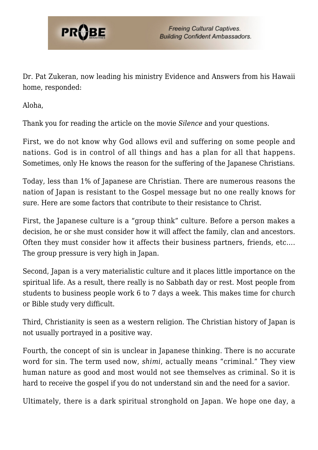

Dr. Pat Zukeran, now leading his ministry Evidence and Answers from his Hawaii home, responded:

Aloha,

Thank you for reading the article on the movie *Silence* and your questions.

First, we do not know why God allows evil and suffering on some people and nations. God is in control of all things and has a plan for all that happens. Sometimes, only He knows the reason for the suffering of the Japanese Christians.

Today, less than 1% of Japanese are Christian. There are numerous reasons the nation of Japan is resistant to the Gospel message but no one really knows for sure. Here are some factors that contribute to their resistance to Christ.

First, the Japanese culture is a "group think" culture. Before a person makes a decision, he or she must consider how it will affect the family, clan and ancestors. Often they must consider how it affects their business partners, friends, etc…. The group pressure is very high in Japan.

Second, Japan is a very materialistic culture and it places little importance on the spiritual life. As a result, there really is no Sabbath day or rest. Most people from students to business people work 6 to 7 days a week. This makes time for church or Bible study very difficult.

Third, Christianity is seen as a western religion. The Christian history of Japan is not usually portrayed in a positive way.

Fourth, the concept of sin is unclear in Japanese thinking. There is no accurate word for sin. The term used now, *shimi*, actually means "criminal." They view human nature as good and most would not see themselves as criminal. So it is hard to receive the gospel if you do not understand sin and the need for a savior.

Ultimately, there is a dark spiritual stronghold on Japan. We hope one day, a